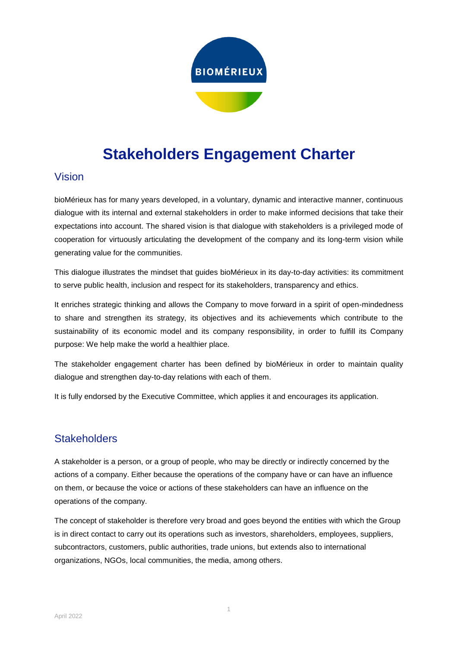

# **Stakeholders Engagement Charter**

#### Vision

bioMérieux has for many years developed, in a voluntary, dynamic and interactive manner, continuous dialogue with its internal and external stakeholders in order to make informed decisions that take their expectations into account. The shared vision is that dialogue with stakeholders is a privileged mode of cooperation for virtuously articulating the development of the company and its long-term vision while generating value for the communities.

This dialogue illustrates the mindset that guides bioMérieux in its day-to-day activities: its commitment to serve public health, inclusion and respect for its stakeholders, transparency and ethics.

It enriches strategic thinking and allows the Company to move forward in a spirit of open-mindedness to share and strengthen its strategy, its objectives and its achievements which contribute to the sustainability of its economic model and its company responsibility, in order to fulfill its Company purpose: We help make the world a healthier place.

The stakeholder engagement charter has been defined by bioMérieux in order to maintain quality dialogue and strengthen day-to-day relations with each of them.

It is fully endorsed by the Executive Committee, which applies it and encourages its application.

### **Stakeholders**

A stakeholder is a person, or a group of people, who may be directly or indirectly concerned by the actions of a company. Either because the operations of the company have or can have an influence on them, or because the voice or actions of these stakeholders can have an influence on the operations of the company.

The concept of stakeholder is therefore very broad and goes beyond the entities with which the Group is in direct contact to carry out its operations such as investors, shareholders, employees, suppliers, subcontractors, customers, public authorities, trade unions, but extends also to international organizations, NGOs, local communities, the media, among others.

1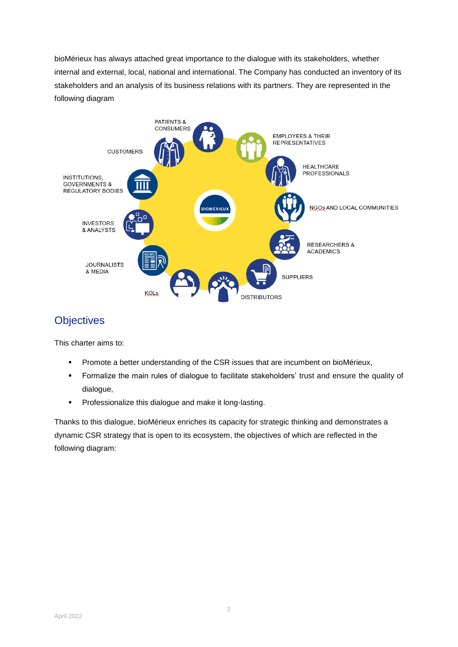bioMérieux has always attached great importance to the dialogue with its stakeholders, whether internal and external, local, national and international. The Company has conducted an inventory of its stakeholders and an analysis of its business relations with its partners. They are represented in the following diagram



## **Objectives**

This charter aims to:

- **Promote a better understanding of the CSR issues that are incumbent on bioMérieux,**
- **Formalize the main rules of dialogue to facilitate stakeholders' trust and ensure the quality of** dialogue,
- **Professionalize this dialogue and make it long-lasting.**

Thanks to this dialogue, bioMérieux enriches its capacity for strategic thinking and demonstrates a dynamic CSR strategy that is open to its ecosystem, the objectives of which are reflected in the following diagram: